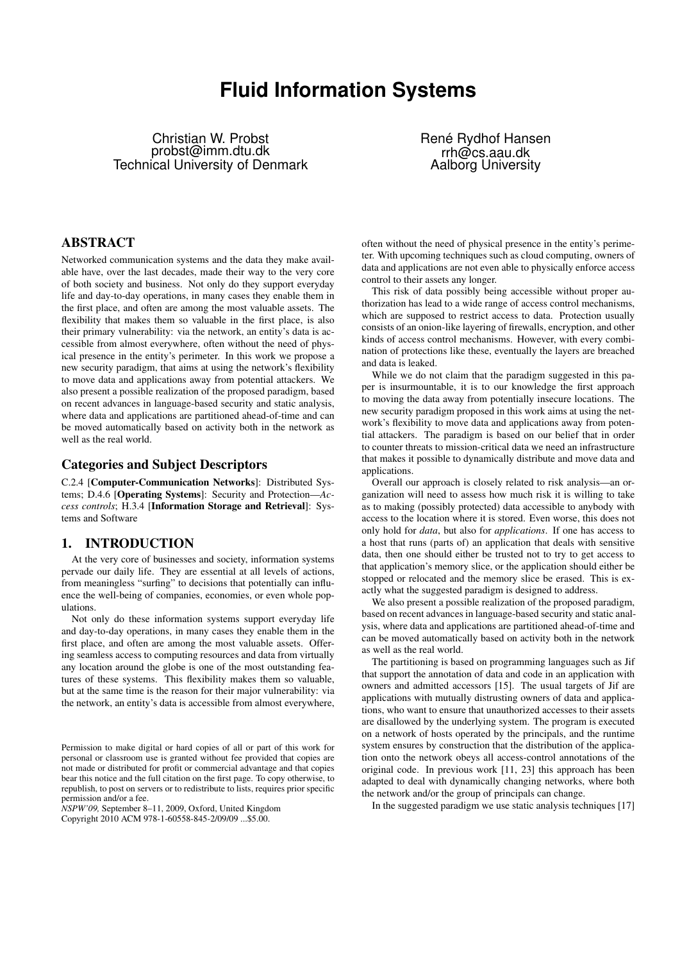# **Fluid Information Systems**

Christian W. Probst probst@imm.dtu.dk Technical University of Denmark René Rydhof Hansen rrh@cs.aau.dk Aalborg University

# ABSTRACT

Networked communication systems and the data they make available have, over the last decades, made their way to the very core of both society and business. Not only do they support everyday life and day-to-day operations, in many cases they enable them in the first place, and often are among the most valuable assets. The flexibility that makes them so valuable in the first place, is also their primary vulnerability: via the network, an entity's data is accessible from almost everywhere, often without the need of physical presence in the entity's perimeter. In this work we propose a new security paradigm, that aims at using the network's flexibility to move data and applications away from potential attackers. We also present a possible realization of the proposed paradigm, based on recent advances in language-based security and static analysis, where data and applications are partitioned ahead-of-time and can be moved automatically based on activity both in the network as well as the real world.

## Categories and Subject Descriptors

C.2.4 [Computer-Communication Networks]: Distributed Systems; D.4.6 [Operating Systems]: Security and Protection—*Access controls*; H.3.4 [Information Storage and Retrieval]: Systems and Software

## 1. INTRODUCTION

At the very core of businesses and society, information systems pervade our daily life. They are essential at all levels of actions, from meaningless "surfing" to decisions that potentially can influence the well-being of companies, economies, or even whole populations.

Not only do these information systems support everyday life and day-to-day operations, in many cases they enable them in the first place, and often are among the most valuable assets. Offering seamless access to computing resources and data from virtually any location around the globe is one of the most outstanding features of these systems. This flexibility makes them so valuable, but at the same time is the reason for their major vulnerability: via the network, an entity's data is accessible from almost everywhere,

*NSPW'09,* September 8–11, 2009, Oxford, United Kingdom Copyright 2010 ACM 978-1-60558-845-2/09/09 ...\$5.00.

often without the need of physical presence in the entity's perimeter. With upcoming techniques such as cloud computing, owners of data and applications are not even able to physically enforce access control to their assets any longer.

This risk of data possibly being accessible without proper authorization has lead to a wide range of access control mechanisms, which are supposed to restrict access to data. Protection usually consists of an onion-like layering of firewalls, encryption, and other kinds of access control mechanisms. However, with every combination of protections like these, eventually the layers are breached and data is leaked.

While we do not claim that the paradigm suggested in this paper is insurmountable, it is to our knowledge the first approach to moving the data away from potentially insecure locations. The new security paradigm proposed in this work aims at using the network's flexibility to move data and applications away from potential attackers. The paradigm is based on our belief that in order to counter threats to mission-critical data we need an infrastructure that makes it possible to dynamically distribute and move data and applications.

Overall our approach is closely related to risk analysis—an organization will need to assess how much risk it is willing to take as to making (possibly protected) data accessible to anybody with access to the location where it is stored. Even worse, this does not only hold for *data*, but also for *applications*. If one has access to a host that runs (parts of) an application that deals with sensitive data, then one should either be trusted not to try to get access to that application's memory slice, or the application should either be stopped or relocated and the memory slice be erased. This is exactly what the suggested paradigm is designed to address.

We also present a possible realization of the proposed paradigm, based on recent advances in language-based security and static analysis, where data and applications are partitioned ahead-of-time and can be moved automatically based on activity both in the network as well as the real world.

The partitioning is based on programming languages such as Jif that support the annotation of data and code in an application with owners and admitted accessors [15]. The usual targets of Jif are applications with mutually distrusting owners of data and applications, who want to ensure that unauthorized accesses to their assets are disallowed by the underlying system. The program is executed on a network of hosts operated by the principals, and the runtime system ensures by construction that the distribution of the application onto the network obeys all access-control annotations of the original code. In previous work [11, 23] this approach has been adapted to deal with dynamically changing networks, where both the network and/or the group of principals can change.

In the suggested paradigm we use static analysis techniques [17]

Permission to make digital or hard copies of all or part of this work for personal or classroom use is granted without fee provided that copies are not made or distributed for profit or commercial advantage and that copies bear this notice and the full citation on the first page. To copy otherwise, to republish, to post on servers or to redistribute to lists, requires prior specific permission and/or a fee.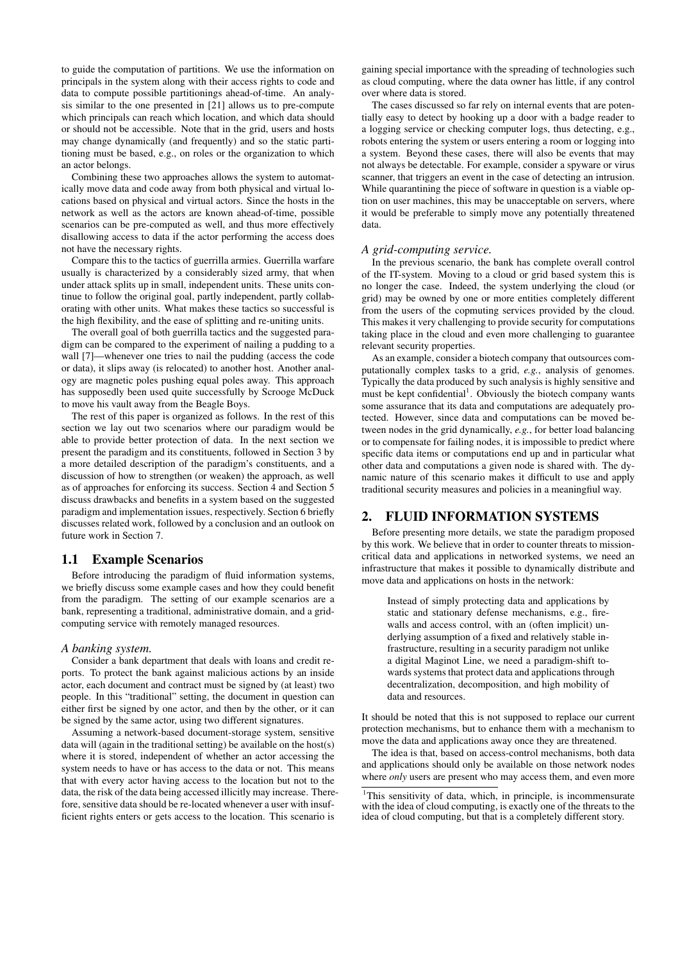to guide the computation of partitions. We use the information on principals in the system along with their access rights to code and data to compute possible partitionings ahead-of-time. An analysis similar to the one presented in [21] allows us to pre-compute which principals can reach which location, and which data should or should not be accessible. Note that in the grid, users and hosts may change dynamically (and frequently) and so the static partitioning must be based, e.g., on roles or the organization to which an actor belongs.

Combining these two approaches allows the system to automatically move data and code away from both physical and virtual locations based on physical and virtual actors. Since the hosts in the network as well as the actors are known ahead-of-time, possible scenarios can be pre-computed as well, and thus more effectively disallowing access to data if the actor performing the access does not have the necessary rights.

Compare this to the tactics of guerrilla armies. Guerrilla warfare usually is characterized by a considerably sized army, that when under attack splits up in small, independent units. These units continue to follow the original goal, partly independent, partly collaborating with other units. What makes these tactics so successful is the high flexibility, and the ease of splitting and re-uniting units.

The overall goal of both guerrilla tactics and the suggested paradigm can be compared to the experiment of nailing a pudding to a wall [7]—whenever one tries to nail the pudding (access the code or data), it slips away (is relocated) to another host. Another analogy are magnetic poles pushing equal poles away. This approach has supposedly been used quite successfully by Scrooge McDuck to move his vault away from the Beagle Boys.

The rest of this paper is organized as follows. In the rest of this section we lay out two scenarios where our paradigm would be able to provide better protection of data. In the next section we present the paradigm and its constituents, followed in Section 3 by a more detailed description of the paradigm's constituents, and a discussion of how to strengthen (or weaken) the approach, as well as of approaches for enforcing its success. Section 4 and Section 5 discuss drawbacks and benefits in a system based on the suggested paradigm and implementation issues, respectively. Section 6 briefly discusses related work, followed by a conclusion and an outlook on future work in Section 7.

## 1.1 Example Scenarios

Before introducing the paradigm of fluid information systems, we briefly discuss some example cases and how they could benefit from the paradigm. The setting of our example scenarios are a bank, representing a traditional, administrative domain, and a gridcomputing service with remotely managed resources.

#### *A banking system.*

Consider a bank department that deals with loans and credit reports. To protect the bank against malicious actions by an inside actor, each document and contract must be signed by (at least) two people. In this "traditional" setting, the document in question can either first be signed by one actor, and then by the other, or it can be signed by the same actor, using two different signatures.

Assuming a network-based document-storage system, sensitive data will (again in the traditional setting) be available on the host(s) where it is stored, independent of whether an actor accessing the system needs to have or has access to the data or not. This means that with every actor having access to the location but not to the data, the risk of the data being accessed illicitly may increase. Therefore, sensitive data should be re-located whenever a user with insufficient rights enters or gets access to the location. This scenario is

gaining special importance with the spreading of technologies such as cloud computing, where the data owner has little, if any control over where data is stored.

The cases discussed so far rely on internal events that are potentially easy to detect by hooking up a door with a badge reader to a logging service or checking computer logs, thus detecting, e.g., robots entering the system or users entering a room or logging into a system. Beyond these cases, there will also be events that may not always be detectable. For example, consider a spyware or virus scanner, that triggers an event in the case of detecting an intrusion. While quarantining the piece of software in question is a viable option on user machines, this may be unacceptable on servers, where it would be preferable to simply move any potentially threatened data.

#### *A grid-computing service.*

In the previous scenario, the bank has complete overall control of the IT-system. Moving to a cloud or grid based system this is no longer the case. Indeed, the system underlying the cloud (or grid) may be owned by one or more entities completely different from the users of the copmuting services provided by the cloud. This makes it very challenging to provide security for computations taking place in the cloud and even more challenging to guarantee relevant security properties.

As an example, consider a biotech company that outsources computationally complex tasks to a grid, *e.g.*, analysis of genomes. Typically the data produced by such analysis is highly sensitive and must be kept confidential<sup>1</sup>. Obviously the biotech company wants some assurance that its data and computations are adequately protected. However, since data and computations can be moved between nodes in the grid dynamically, *e.g.*, for better load balancing or to compensate for failing nodes, it is impossible to predict where specific data items or computations end up and in particular what other data and computations a given node is shared with. The dynamic nature of this scenario makes it difficult to use and apply traditional security measures and policies in a meaningfiul way.

## 2. FLUID INFORMATION SYSTEMS

Before presenting more details, we state the paradigm proposed by this work. We believe that in order to counter threats to missioncritical data and applications in networked systems, we need an infrastructure that makes it possible to dynamically distribute and move data and applications on hosts in the network:

Instead of simply protecting data and applications by static and stationary defense mechanisms, e.g., firewalls and access control, with an (often implicit) underlying assumption of a fixed and relatively stable infrastructure, resulting in a security paradigm not unlike a digital Maginot Line, we need a paradigm-shift towards systems that protect data and applications through decentralization, decomposition, and high mobility of data and resources.

It should be noted that this is not supposed to replace our current protection mechanisms, but to enhance them with a mechanism to move the data and applications away once they are threatened.

The idea is that, based on access-control mechanisms, both data and applications should only be available on those network nodes where *only* users are present who may access them, and even more

<sup>&</sup>lt;sup>1</sup>This sensitivity of data, which, in principle, is incommensurate with the idea of cloud computing, is exactly one of the threats to the idea of cloud computing, but that is a completely different story.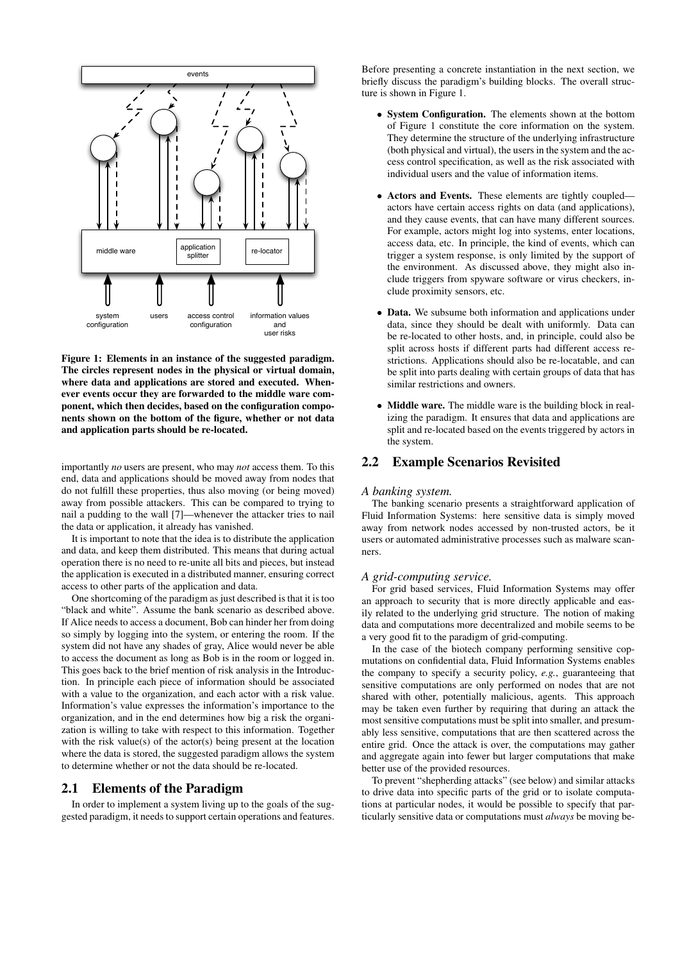

Figure 1: Elements in an instance of the suggested paradigm. The circles represent nodes in the physical or virtual domain, where data and applications are stored and executed. Whenever events occur they are forwarded to the middle ware component, which then decides, based on the configuration components shown on the bottom of the figure, whether or not data and application parts should be re-located.

importantly *no* users are present, who may *not* access them. To this end, data and applications should be moved away from nodes that do not fulfill these properties, thus also moving (or being moved) away from possible attackers. This can be compared to trying to nail a pudding to the wall [7]—whenever the attacker tries to nail the data or application, it already has vanished.

It is important to note that the idea is to distribute the application and data, and keep them distributed. This means that during actual operation there is no need to re-unite all bits and pieces, but instead the application is executed in a distributed manner, ensuring correct access to other parts of the application and data.

One shortcoming of the paradigm as just described is that it is too "black and white". Assume the bank scenario as described above. If Alice needs to access a document, Bob can hinder her from doing so simply by logging into the system, or entering the room. If the system did not have any shades of gray, Alice would never be able to access the document as long as Bob is in the room or logged in. This goes back to the brief mention of risk analysis in the Introduction. In principle each piece of information should be associated with a value to the organization, and each actor with a risk value. Information's value expresses the information's importance to the organization, and in the end determines how big a risk the organization is willing to take with respect to this information. Together with the risk value(s) of the actor(s) being present at the location where the data is stored, the suggested paradigm allows the system to determine whether or not the data should be re-located.

## 2.1 Elements of the Paradigm

In order to implement a system living up to the goals of the suggested paradigm, it needs to support certain operations and features.

Before presenting a concrete instantiation in the next section, we briefly discuss the paradigm's building blocks. The overall structure is shown in Figure 1.

- System Configuration. The elements shown at the bottom of Figure 1 constitute the core information on the system. They determine the structure of the underlying infrastructure (both physical and virtual), the users in the system and the access control specification, as well as the risk associated with individual users and the value of information items.
- Actors and Events. These elements are tightly coupled actors have certain access rights on data (and applications), and they cause events, that can have many different sources. For example, actors might log into systems, enter locations, access data, etc. In principle, the kind of events, which can trigger a system response, is only limited by the support of the environment. As discussed above, they might also include triggers from spyware software or virus checkers, include proximity sensors, etc.
- Data. We subsume both information and applications under data, since they should be dealt with uniformly. Data can be re-located to other hosts, and, in principle, could also be split across hosts if different parts had different access restrictions. Applications should also be re-locatable, and can be split into parts dealing with certain groups of data that has similar restrictions and owners.
- Middle ware. The middle ware is the building block in realizing the paradigm. It ensures that data and applications are split and re-located based on the events triggered by actors in the system.

## 2.2 Example Scenarios Revisited

#### *A banking system.*

The banking scenario presents a straightforward application of Fluid Information Systems: here sensitive data is simply moved away from network nodes accessed by non-trusted actors, be it users or automated administrative processes such as malware scanners.

#### *A grid-computing service.*

For grid based services, Fluid Information Systems may offer an approach to security that is more directly applicable and easily related to the underlying grid structure. The notion of making data and computations more decentralized and mobile seems to be a very good fit to the paradigm of grid-computing.

In the case of the biotech company performing sensitive copmutations on confidential data, Fluid Information Systems enables the company to specify a security policy, *e.g.*, guaranteeing that sensitive computations are only performed on nodes that are not shared with other, potentially malicious, agents. This approach may be taken even further by requiring that during an attack the most sensitive computations must be split into smaller, and presumably less sensitive, computations that are then scattered across the entire grid. Once the attack is over, the computations may gather and aggregate again into fewer but larger computations that make better use of the provided resources.

To prevent "shepherding attacks" (see below) and similar attacks to drive data into specific parts of the grid or to isolate computations at particular nodes, it would be possible to specify that particularly sensitive data or computations must *always* be moving be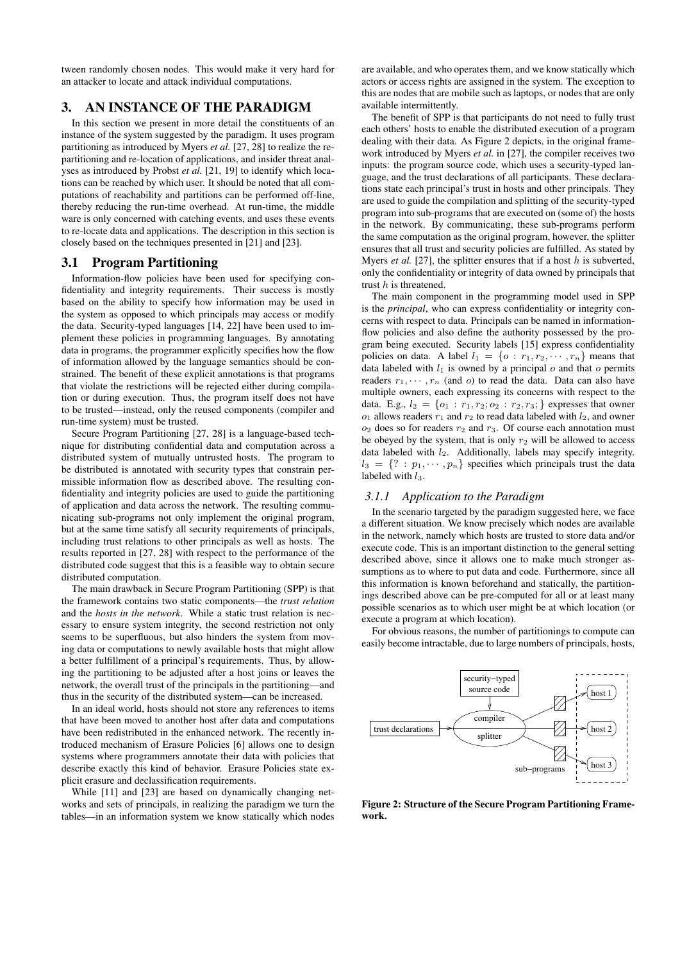tween randomly chosen nodes. This would make it very hard for an attacker to locate and attack individual computations.

# 3. AN INSTANCE OF THE PARADIGM

In this section we present in more detail the constituents of an instance of the system suggested by the paradigm. It uses program partitioning as introduced by Myers *et al.* [27, 28] to realize the repartitioning and re-location of applications, and insider threat analyses as introduced by Probst *et al.* [21, 19] to identify which locations can be reached by which user. It should be noted that all computations of reachability and partitions can be performed off-line, thereby reducing the run-time overhead. At run-time, the middle ware is only concerned with catching events, and uses these events to re-locate data and applications. The description in this section is closely based on the techniques presented in [21] and [23].

### 3.1 Program Partitioning

Information-flow policies have been used for specifying confidentiality and integrity requirements. Their success is mostly based on the ability to specify how information may be used in the system as opposed to which principals may access or modify the data. Security-typed languages [14, 22] have been used to implement these policies in programming languages. By annotating data in programs, the programmer explicitly specifies how the flow of information allowed by the language semantics should be constrained. The benefit of these explicit annotations is that programs that violate the restrictions will be rejected either during compilation or during execution. Thus, the program itself does not have to be trusted—instead, only the reused components (compiler and run-time system) must be trusted.

Secure Program Partitioning [27, 28] is a language-based technique for distributing confidential data and computation across a distributed system of mutually untrusted hosts. The program to be distributed is annotated with security types that constrain permissible information flow as described above. The resulting confidentiality and integrity policies are used to guide the partitioning of application and data across the network. The resulting communicating sub-programs not only implement the original program, but at the same time satisfy all security requirements of principals, including trust relations to other principals as well as hosts. The results reported in [27, 28] with respect to the performance of the distributed code suggest that this is a feasible way to obtain secure distributed computation.

The main drawback in Secure Program Partitioning (SPP) is that the framework contains two static components—the *trust relation* and the *hosts in the network*. While a static trust relation is necessary to ensure system integrity, the second restriction not only seems to be superfluous, but also hinders the system from moving data or computations to newly available hosts that might allow a better fulfillment of a principal's requirements. Thus, by allowing the partitioning to be adjusted after a host joins or leaves the network, the overall trust of the principals in the partitioning—and thus in the security of the distributed system—can be increased.

In an ideal world, hosts should not store any references to items that have been moved to another host after data and computations have been redistributed in the enhanced network. The recently introduced mechanism of Erasure Policies [6] allows one to design systems where programmers annotate their data with policies that describe exactly this kind of behavior. Erasure Policies state explicit erasure and declassification requirements.

While [11] and [23] are based on dynamically changing networks and sets of principals, in realizing the paradigm we turn the tables—in an information system we know statically which nodes

are available, and who operates them, and we know statically which actors or access rights are assigned in the system. The exception to this are nodes that are mobile such as laptops, or nodes that are only available intermittently.

The benefit of SPP is that participants do not need to fully trust each others' hosts to enable the distributed execution of a program dealing with their data. As Figure 2 depicts, in the original framework introduced by Myers *et al.* in [27], the compiler receives two inputs: the program source code, which uses a security-typed language, and the trust declarations of all participants. These declarations state each principal's trust in hosts and other principals. They are used to guide the compilation and splitting of the security-typed program into sub-programs that are executed on (some of) the hosts in the network. By communicating, these sub-programs perform the same computation as the original program, however, the splitter ensures that all trust and security policies are fulfilled. As stated by Myers *et al.* [27], the splitter ensures that if a host  $h$  is subverted, only the confidentiality or integrity of data owned by principals that trust  $h$  is threatened.

The main component in the programming model used in SPP is the *principal*, who can express confidentiality or integrity concerns with respect to data. Principals can be named in informationflow policies and also define the authority possessed by the program being executed. Security labels [15] express confidentiality policies on data. A label  $l_1 = \{o : r_1, r_2, \cdots, r_n\}$  means that data labeled with  $l_1$  is owned by a principal  $o$  and that  $o$  permits readers  $r_1, \dots, r_n$  (and o) to read the data. Data can also have multiple owners, each expressing its concerns with respect to the data. E.g.,  $l_2 = \{o_1 : r_1, r_2; o_2 : r_2, r_3; \}$  expresses that owner  $o_1$  allows readers  $r_1$  and  $r_2$  to read data labeled with  $l_2$ , and owner  $o_2$  does so for readers  $r_2$  and  $r_3$ . Of course each annotation must be obeyed by the system, that is only  $r_2$  will be allowed to access data labeled with  $l_2$ . Additionally, labels may specify integrity.  $l_3 = \{ ? : p_1, \cdots, p_n \}$  specifies which principals trust the data labeled with  $l_3$ .

#### *3.1.1 Application to the Paradigm*

In the scenario targeted by the paradigm suggested here, we face a different situation. We know precisely which nodes are available in the network, namely which hosts are trusted to store data and/or execute code. This is an important distinction to the general setting described above, since it allows one to make much stronger assumptions as to where to put data and code. Furthermore, since all this information is known beforehand and statically, the partitionings described above can be pre-computed for all or at least many possible scenarios as to which user might be at which location (or execute a program at which location).

For obvious reasons, the number of partitionings to compute can easily become intractable, due to large numbers of principals, hosts,



Figure 2: Structure of the Secure Program Partitioning Framework.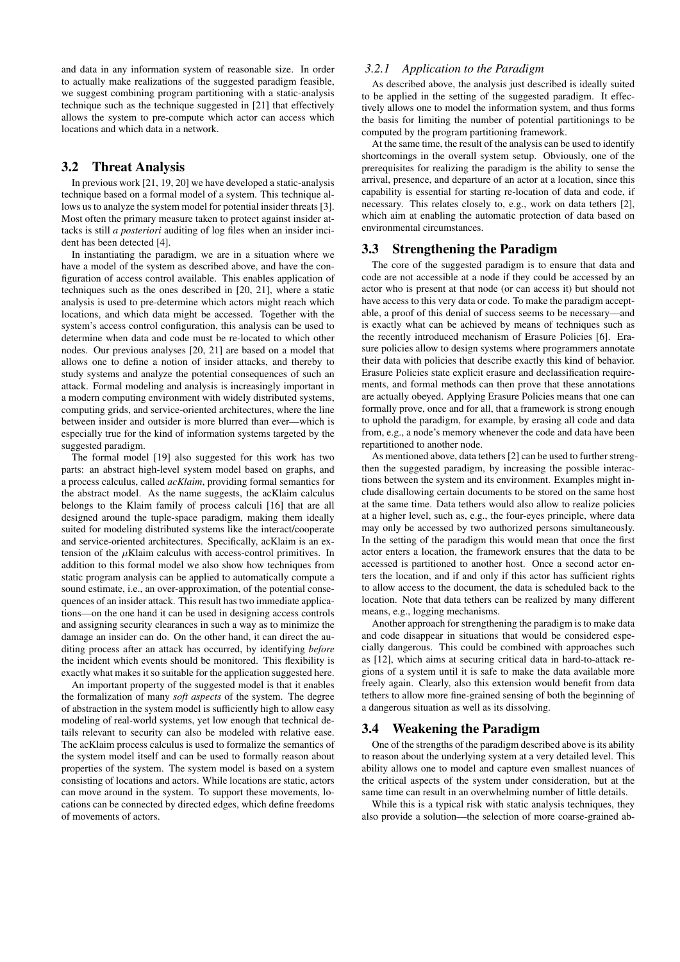and data in any information system of reasonable size. In order to actually make realizations of the suggested paradigm feasible, we suggest combining program partitioning with a static-analysis technique such as the technique suggested in [21] that effectively allows the system to pre-compute which actor can access which locations and which data in a network.

## 3.2 Threat Analysis

In previous work [21, 19, 20] we have developed a static-analysis technique based on a formal model of a system. This technique allows us to analyze the system model for potential insider threats [3]. Most often the primary measure taken to protect against insider attacks is still *a posteriori* auditing of log files when an insider incident has been detected [4].

In instantiating the paradigm, we are in a situation where we have a model of the system as described above, and have the configuration of access control available. This enables application of techniques such as the ones described in [20, 21], where a static analysis is used to pre-determine which actors might reach which locations, and which data might be accessed. Together with the system's access control configuration, this analysis can be used to determine when data and code must be re-located to which other nodes. Our previous analyses [20, 21] are based on a model that allows one to define a notion of insider attacks, and thereby to study systems and analyze the potential consequences of such an attack. Formal modeling and analysis is increasingly important in a modern computing environment with widely distributed systems, computing grids, and service-oriented architectures, where the line between insider and outsider is more blurred than ever—which is especially true for the kind of information systems targeted by the suggested paradigm.

The formal model [19] also suggested for this work has two parts: an abstract high-level system model based on graphs, and a process calculus, called *acKlaim*, providing formal semantics for the abstract model. As the name suggests, the acKlaim calculus belongs to the Klaim family of process calculi [16] that are all designed around the tuple-space paradigm, making them ideally suited for modeling distributed systems like the interact/cooperate and service-oriented architectures. Specifically, acKlaim is an extension of the  $\mu$ Klaim calculus with access-control primitives. In addition to this formal model we also show how techniques from static program analysis can be applied to automatically compute a sound estimate, i.e., an over-approximation, of the potential consequences of an insider attack. This result has two immediate applications—on the one hand it can be used in designing access controls and assigning security clearances in such a way as to minimize the damage an insider can do. On the other hand, it can direct the auditing process after an attack has occurred, by identifying *before* the incident which events should be monitored. This flexibility is exactly what makes it so suitable for the application suggested here.

An important property of the suggested model is that it enables the formalization of many *soft aspects* of the system. The degree of abstraction in the system model is sufficiently high to allow easy modeling of real-world systems, yet low enough that technical details relevant to security can also be modeled with relative ease. The acKlaim process calculus is used to formalize the semantics of the system model itself and can be used to formally reason about properties of the system. The system model is based on a system consisting of locations and actors. While locations are static, actors can move around in the system. To support these movements, locations can be connected by directed edges, which define freedoms of movements of actors.

#### *3.2.1 Application to the Paradigm*

As described above, the analysis just described is ideally suited to be applied in the setting of the suggested paradigm. It effectively allows one to model the information system, and thus forms the basis for limiting the number of potential partitionings to be computed by the program partitioning framework.

At the same time, the result of the analysis can be used to identify shortcomings in the overall system setup. Obviously, one of the prerequisites for realizing the paradigm is the ability to sense the arrival, presence, and departure of an actor at a location, since this capability is essential for starting re-location of data and code, if necessary. This relates closely to, e.g., work on data tethers [2], which aim at enabling the automatic protection of data based on environmental circumstances.

## 3.3 Strengthening the Paradigm

The core of the suggested paradigm is to ensure that data and code are not accessible at a node if they could be accessed by an actor who is present at that node (or can access it) but should not have access to this very data or code. To make the paradigm acceptable, a proof of this denial of success seems to be necessary—and is exactly what can be achieved by means of techniques such as the recently introduced mechanism of Erasure Policies [6]. Erasure policies allow to design systems where programmers annotate their data with policies that describe exactly this kind of behavior. Erasure Policies state explicit erasure and declassification requirements, and formal methods can then prove that these annotations are actually obeyed. Applying Erasure Policies means that one can formally prove, once and for all, that a framework is strong enough to uphold the paradigm, for example, by erasing all code and data from, e.g., a node's memory whenever the code and data have been repartitioned to another node.

As mentioned above, data tethers [2] can be used to further strengthen the suggested paradigm, by increasing the possible interactions between the system and its environment. Examples might include disallowing certain documents to be stored on the same host at the same time. Data tethers would also allow to realize policies at a higher level, such as, e.g., the four-eyes principle, where data may only be accessed by two authorized persons simultaneously. In the setting of the paradigm this would mean that once the first actor enters a location, the framework ensures that the data to be accessed is partitioned to another host. Once a second actor enters the location, and if and only if this actor has sufficient rights to allow access to the document, the data is scheduled back to the location. Note that data tethers can be realized by many different means, e.g., logging mechanisms.

Another approach for strengthening the paradigm is to make data and code disappear in situations that would be considered especially dangerous. This could be combined with approaches such as [12], which aims at securing critical data in hard-to-attack regions of a system until it is safe to make the data available more freely again. Clearly, also this extension would benefit from data tethers to allow more fine-grained sensing of both the beginning of a dangerous situation as well as its dissolving.

## 3.4 Weakening the Paradigm

One of the strengths of the paradigm described above is its ability to reason about the underlying system at a very detailed level. This ability allows one to model and capture even smallest nuances of the critical aspects of the system under consideration, but at the same time can result in an overwhelming number of little details.

While this is a typical risk with static analysis techniques, they also provide a solution—the selection of more coarse-grained ab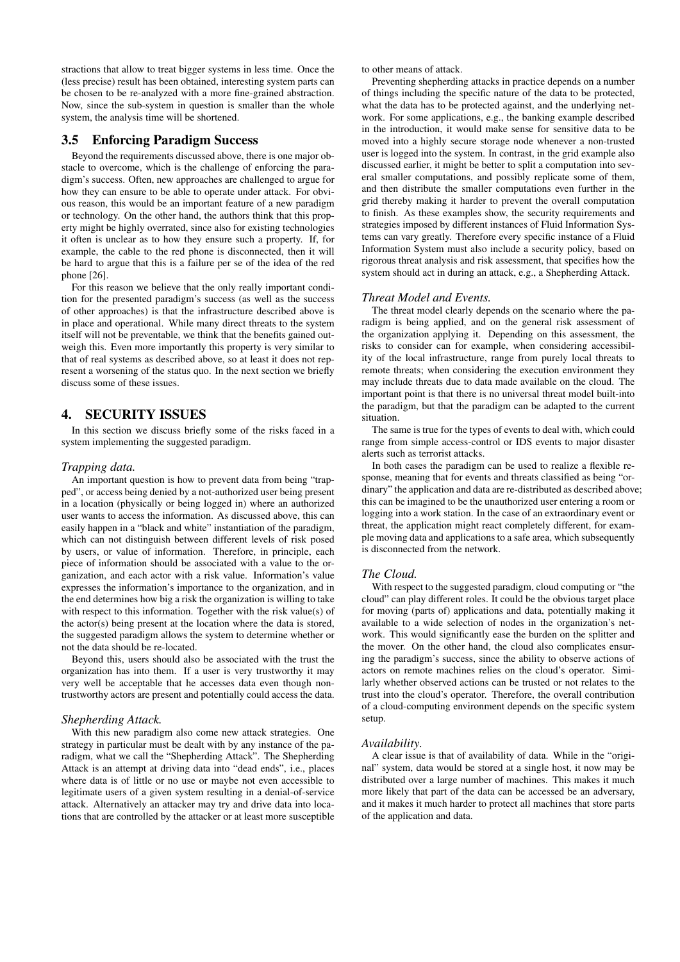stractions that allow to treat bigger systems in less time. Once the (less precise) result has been obtained, interesting system parts can be chosen to be re-analyzed with a more fine-grained abstraction. Now, since the sub-system in question is smaller than the whole system, the analysis time will be shortened.

## 3.5 Enforcing Paradigm Success

Beyond the requirements discussed above, there is one major obstacle to overcome, which is the challenge of enforcing the paradigm's success. Often, new approaches are challenged to argue for how they can ensure to be able to operate under attack. For obvious reason, this would be an important feature of a new paradigm or technology. On the other hand, the authors think that this property might be highly overrated, since also for existing technologies it often is unclear as to how they ensure such a property. If, for example, the cable to the red phone is disconnected, then it will be hard to argue that this is a failure per se of the idea of the red phone [26].

For this reason we believe that the only really important condition for the presented paradigm's success (as well as the success of other approaches) is that the infrastructure described above is in place and operational. While many direct threats to the system itself will not be preventable, we think that the benefits gained outweigh this. Even more importantly this property is very similar to that of real systems as described above, so at least it does not represent a worsening of the status quo. In the next section we briefly discuss some of these issues.

## 4. SECURITY ISSUES

In this section we discuss briefly some of the risks faced in a system implementing the suggested paradigm.

#### *Trapping data.*

An important question is how to prevent data from being "trapped", or access being denied by a not-authorized user being present in a location (physically or being logged in) where an authorized user wants to access the information. As discussed above, this can easily happen in a "black and white" instantiation of the paradigm, which can not distinguish between different levels of risk posed by users, or value of information. Therefore, in principle, each piece of information should be associated with a value to the organization, and each actor with a risk value. Information's value expresses the information's importance to the organization, and in the end determines how big a risk the organization is willing to take with respect to this information. Together with the risk value(s) of the actor(s) being present at the location where the data is stored, the suggested paradigm allows the system to determine whether or not the data should be re-located.

Beyond this, users should also be associated with the trust the organization has into them. If a user is very trustworthy it may very well be acceptable that he accesses data even though nontrustworthy actors are present and potentially could access the data.

#### *Shepherding Attack.*

With this new paradigm also come new attack strategies. One strategy in particular must be dealt with by any instance of the paradigm, what we call the "Shepherding Attack". The Shepherding Attack is an attempt at driving data into "dead ends", i.e., places where data is of little or no use or maybe not even accessible to legitimate users of a given system resulting in a denial-of-service attack. Alternatively an attacker may try and drive data into locations that are controlled by the attacker or at least more susceptible to other means of attack.

Preventing shepherding attacks in practice depends on a number of things including the specific nature of the data to be protected, what the data has to be protected against, and the underlying network. For some applications, e.g., the banking example described in the introduction, it would make sense for sensitive data to be moved into a highly secure storage node whenever a non-trusted user is logged into the system. In contrast, in the grid example also discussed earlier, it might be better to split a computation into several smaller computations, and possibly replicate some of them, and then distribute the smaller computations even further in the grid thereby making it harder to prevent the overall computation to finish. As these examples show, the security requirements and strategies imposed by different instances of Fluid Information Systems can vary greatly. Therefore every specific instance of a Fluid Information System must also include a security policy, based on rigorous threat analysis and risk assessment, that specifies how the system should act in during an attack, e.g., a Shepherding Attack.

#### *Threat Model and Events.*

The threat model clearly depends on the scenario where the paradigm is being applied, and on the general risk assessment of the organization applying it. Depending on this assessment, the risks to consider can for example, when considering accessibility of the local infrastructure, range from purely local threats to remote threats; when considering the execution environment they may include threats due to data made available on the cloud. The important point is that there is no universal threat model built-into the paradigm, but that the paradigm can be adapted to the current situation.

The same is true for the types of events to deal with, which could range from simple access-control or IDS events to major disaster alerts such as terrorist attacks.

In both cases the paradigm can be used to realize a flexible response, meaning that for events and threats classified as being "ordinary" the application and data are re-distributed as described above; this can be imagined to be the unauthorized user entering a room or logging into a work station. In the case of an extraordinary event or threat, the application might react completely different, for example moving data and applications to a safe area, which subsequently is disconnected from the network.

#### *The Cloud.*

With respect to the suggested paradigm, cloud computing or "the cloud" can play different roles. It could be the obvious target place for moving (parts of) applications and data, potentially making it available to a wide selection of nodes in the organization's network. This would significantly ease the burden on the splitter and the mover. On the other hand, the cloud also complicates ensuring the paradigm's success, since the ability to observe actions of actors on remote machines relies on the cloud's operator. Similarly whether observed actions can be trusted or not relates to the trust into the cloud's operator. Therefore, the overall contribution of a cloud-computing environment depends on the specific system setup.

#### *Availability.*

A clear issue is that of availability of data. While in the "original" system, data would be stored at a single host, it now may be distributed over a large number of machines. This makes it much more likely that part of the data can be accessed be an adversary, and it makes it much harder to protect all machines that store parts of the application and data.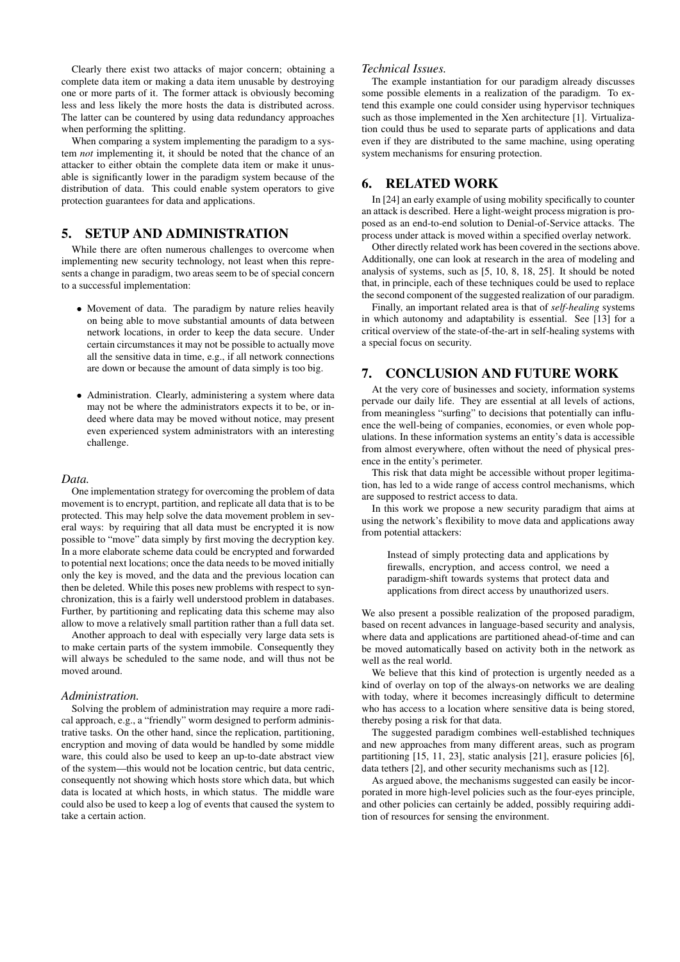Clearly there exist two attacks of major concern; obtaining a complete data item or making a data item unusable by destroying one or more parts of it. The former attack is obviously becoming less and less likely the more hosts the data is distributed across. The latter can be countered by using data redundancy approaches when performing the splitting.

When comparing a system implementing the paradigm to a system *not* implementing it, it should be noted that the chance of an attacker to either obtain the complete data item or make it unusable is significantly lower in the paradigm system because of the distribution of data. This could enable system operators to give protection guarantees for data and applications.

## 5. SETUP AND ADMINISTRATION

While there are often numerous challenges to overcome when implementing new security technology, not least when this represents a change in paradigm, two areas seem to be of special concern to a successful implementation:

- Movement of data. The paradigm by nature relies heavily on being able to move substantial amounts of data between network locations, in order to keep the data secure. Under certain circumstances it may not be possible to actually move all the sensitive data in time, e.g., if all network connections are down or because the amount of data simply is too big.
- Administration. Clearly, administering a system where data may not be where the administrators expects it to be, or indeed where data may be moved without notice, may present even experienced system administrators with an interesting challenge.

#### *Data.*

One implementation strategy for overcoming the problem of data movement is to encrypt, partition, and replicate all data that is to be protected. This may help solve the data movement problem in several ways: by requiring that all data must be encrypted it is now possible to "move" data simply by first moving the decryption key. In a more elaborate scheme data could be encrypted and forwarded to potential next locations; once the data needs to be moved initially only the key is moved, and the data and the previous location can then be deleted. While this poses new problems with respect to synchronization, this is a fairly well understood problem in databases. Further, by partitioning and replicating data this scheme may also allow to move a relatively small partition rather than a full data set.

Another approach to deal with especially very large data sets is to make certain parts of the system immobile. Consequently they will always be scheduled to the same node, and will thus not be moved around.

#### *Administration.*

Solving the problem of administration may require a more radical approach, e.g., a "friendly" worm designed to perform administrative tasks. On the other hand, since the replication, partitioning, encryption and moving of data would be handled by some middle ware, this could also be used to keep an up-to-date abstract view of the system—this would not be location centric, but data centric, consequently not showing which hosts store which data, but which data is located at which hosts, in which status. The middle ware could also be used to keep a log of events that caused the system to take a certain action.

## *Technical Issues.*

The example instantiation for our paradigm already discusses some possible elements in a realization of the paradigm. To extend this example one could consider using hypervisor techniques such as those implemented in the Xen architecture [1]. Virtualization could thus be used to separate parts of applications and data even if they are distributed to the same machine, using operating system mechanisms for ensuring protection.

## 6. RELATED WORK

In [24] an early example of using mobility specifically to counter an attack is described. Here a light-weight process migration is proposed as an end-to-end solution to Denial-of-Service attacks. The process under attack is moved within a specified overlay network.

Other directly related work has been covered in the sections above. Additionally, one can look at research in the area of modeling and analysis of systems, such as [5, 10, 8, 18, 25]. It should be noted that, in principle, each of these techniques could be used to replace the second component of the suggested realization of our paradigm.

Finally, an important related area is that of *self-healing* systems in which autonomy and adaptability is essential. See [13] for a critical overview of the state-of-the-art in self-healing systems with a special focus on security.

# 7. CONCLUSION AND FUTURE WORK

At the very core of businesses and society, information systems pervade our daily life. They are essential at all levels of actions, from meaningless "surfing" to decisions that potentially can influence the well-being of companies, economies, or even whole populations. In these information systems an entity's data is accessible from almost everywhere, often without the need of physical presence in the entity's perimeter.

This risk that data might be accessible without proper legitimation, has led to a wide range of access control mechanisms, which are supposed to restrict access to data.

In this work we propose a new security paradigm that aims at using the network's flexibility to move data and applications away from potential attackers:

Instead of simply protecting data and applications by firewalls, encryption, and access control, we need a paradigm-shift towards systems that protect data and applications from direct access by unauthorized users.

We also present a possible realization of the proposed paradigm, based on recent advances in language-based security and analysis, where data and applications are partitioned ahead-of-time and can be moved automatically based on activity both in the network as well as the real world.

We believe that this kind of protection is urgently needed as a kind of overlay on top of the always-on networks we are dealing with today, where it becomes increasingly difficult to determine who has access to a location where sensitive data is being stored, thereby posing a risk for that data.

The suggested paradigm combines well-established techniques and new approaches from many different areas, such as program partitioning [15, 11, 23], static analysis [21], erasure policies [6], data tethers [2], and other security mechanisms such as [12].

As argued above, the mechanisms suggested can easily be incorporated in more high-level policies such as the four-eyes principle, and other policies can certainly be added, possibly requiring addition of resources for sensing the environment.